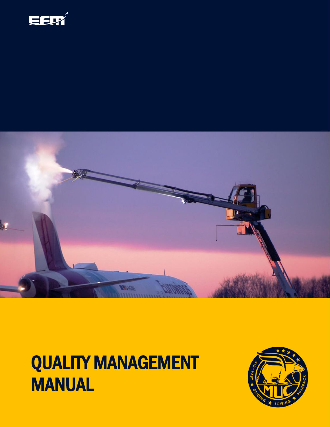



# QUALITY MANAGEMENT MANUAL

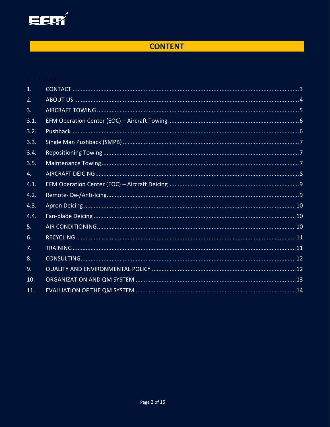

# **CONTENT**

| 1.   |  |
|------|--|
| 2.   |  |
| 3.   |  |
| 3.1. |  |
| 3.2. |  |
| 3.3. |  |
| 3.4. |  |
| 3.5. |  |
| 4.   |  |
| 4.1. |  |
| 4.2. |  |
| 4.3. |  |
| 4.4. |  |
| 5.   |  |
| 6.   |  |
| 7.   |  |
| 8.   |  |
| 9.   |  |
| 10.  |  |
| 11.  |  |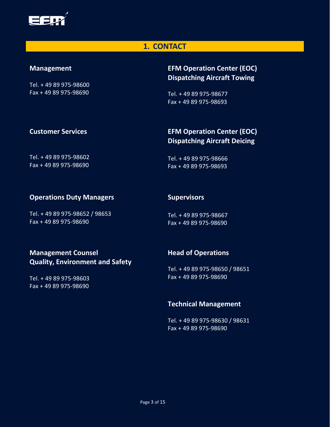

#### **1. CONTACT**

#### <span id="page-2-0"></span>**Management**

Tel. + 49 89 975-98600 Fax + 49 89 975-98690

## **EFM Operation Center (EOC) Dispatching Aircraft Towing**

Tel. + 49 89 975-98677 Fax + 49 89 975-98693

#### **Customer Services**

#### **EFM Operation Center (EOC) Dispatching Aircraft Deicing**

Tel. + 49 89 975-98602  $Fax + 4989975 - 98690$ 

Tel. + 49 89 975-98666 Fax + 49 89 975-98693

#### **Operations Duty Managers**

Tel. + 49 89 975-98652 / 98653 Fax + 49 89 975-98690

#### **Supervisors**

Tel. + 49 89 975-98667 Fax + 49 89 975-98690

#### **Management Counsel Quality, Environment and Safety**

Tel. + 49 89 975-98603 Fax + 49 89 975-98690

#### **Head of Operations**

Tel. + 49 89 975-98650 / 98651 Fax + 49 89 975-98690

#### **Technical Management**

Tel. + 49 89 975-98630 / 98631 Fax + 49 89 975-98690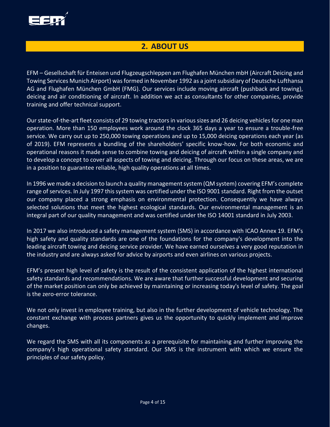

# **2. ABOUT US**

<span id="page-3-0"></span>EFM – Gesellschaft für Enteisen und Flugzeugschleppen am Flughafen München mbH (Aircraft Deicing and Towing Services Munich Airport) was formed in November 1992 as a joint subsidiary of Deutsche Lufthansa AG and Flughafen München GmbH (FMG). Our services include moving aircraft (pushback and towing), deicing and air conditioning of aircraft. In addition we act as consultants for other companies, provide training and offer technical support.

Our state-of-the-art fleet consists of 29 towing tractors in various sizes and 26 deicing vehicles for one man operation. More than 150 employees work around the clock 365 days a year to ensure a trouble-free service. We carry out up to 250,000 towing operations and up to 15,000 deicing operations each year (as of 2019). EFM represents a bundling of the shareholders' specific know-how. For both economic and operational reasons it made sense to combine towing and deicing of aircraft within a single company and to develop a concept to cover all aspects of towing and deicing. Through our focus on these areas, we are in a position to guarantee reliable, high quality operations at all times.

In 1996 we made a decision to launch a quality management system (QM system) covering EFM's complete range of services. In July 1997 this system was certified under the ISO 9001 standard. Right from the outset our company placed a strong emphasis on environmental protection. Consequently we have always selected solutions that meet the highest ecological standards. Our environmental management is an integral part of our quality management and was certified under the ISO 14001 standard in July 2003.

In 2017 we also introduced a safety management system (SMS) in accordance with ICAO Annex 19. EFM's high safety and quality standards are one of the foundations for the company's development into the leading aircraft towing and deicing service provider. We have earned ourselves a very good reputation in the industry and are always asked for advice by airports and even airlines on various projects.

EFM's present high level of safety is the result of the consistent application of the highest international safety standards and recommendations. We are aware that further successful development and securing of the market position can only be achieved by maintaining or increasing today's level of safety. The goal is the zero-error tolerance.

We not only invest in employee training, but also in the further development of vehicle technology. The constant exchange with process partners gives us the opportunity to quickly implement and improve changes.

We regard the SMS with all its components as a prerequisite for maintaining and further improving the company's high operational safety standard. Our SMS is the instrument with which we ensure the principles of our safety policy.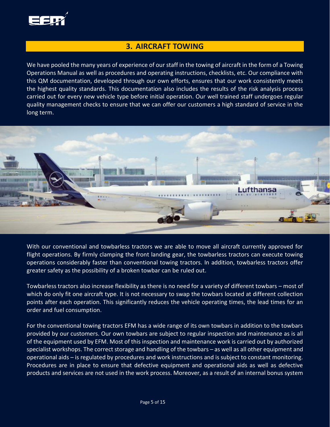

#### **3. AIRCRAFT TOWING**

<span id="page-4-0"></span>We have pooled the many years of experience of our staff in the towing of aircraft in the form of a Towing Operations Manual as well as procedures and operating instructions, checklists, etc. Our compliance with this QM documentation, developed through our own efforts, ensures that our work consistently meets the highest quality standards. This documentation also includes the results of the risk analysis process carried out for every new vehicle type before initial operation. Our well trained staff undergoes regular quality management checks to ensure that we can offer our customers a high standard of service in the long term.



With our conventional and towbarless tractors we are able to move all aircraft currently approved for flight operations. By firmly clamping the front landing gear, the towbarless tractors can execute towing operations considerably faster than conventional towing tractors. In addition, towbarless tractors offer greater safety as the possibility of a broken towbar can be ruled out.

Towbarless tractors also increase flexibility as there is no need for a variety of different towbars – most of which do only fit one aircraft type. It is not necessary to swap the towbars located at different collection points after each operation. This significantly reduces the vehicle operating times, the lead times for an order and fuel consumption.

For the conventional towing tractors EFM has a wide range of its own towbars in addition to the towbars provided by our customers. Our own towbars are subject to regular inspection and maintenance as is all of the equipment used by EFM. Most of this inspection and maintenance work is carried out by authorized specialist workshops. The correct storage and handling of the towbars – as well as all other equipment and operational aids – is regulated by procedures and work instructions and is subject to constant monitoring. Procedures are in place to ensure that defective equipment and operational aids as well as defective products and services are not used in the work process. Moreover, as a result of an internal bonus system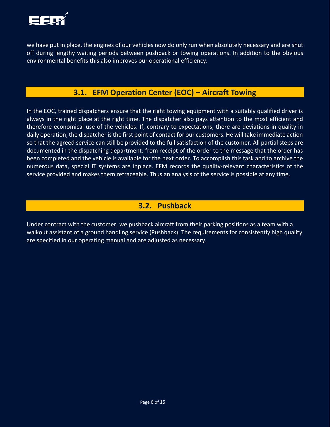

we have put in place, the engines of our vehicles now do only run when absolutely necessary and are shut off during lengthy waiting periods between pushback or towing operations. In addition to the obvious environmental benefits this also improves our operational efficiency.

# **3.1. EFM Operation Center (EOC) – Aircraft Towing**

<span id="page-5-0"></span>In the EOC, trained dispatchers ensure that the right towing equipment with a suitably qualified driver is always in the right place at the right time. The dispatcher also pays attention to the most efficient and therefore economical use of the vehicles. If, contrary to expectations, there are deviations in quality in daily operation, the dispatcher is the first point of contact for our customers. He will take immediate action so that the agreed service can still be provided to the full satisfaction of the customer. All partial steps are documented in the dispatching department: from receipt of the order to the message that the order has been completed and the vehicle is available for the next order. To accomplish this task and to archive the numerous data, special IT systems are inplace. EFM records the quality-relevant characteristics of the service provided and makes them retraceable. Thus an analysis of the service is possible at any time.

# **3.2. Pushback**

<span id="page-5-1"></span>Under contract with the customer, we pushback aircraft from their parking positions as a team with a walkout assistant of a ground handling service (Pushback). The requirements for consistently high quality are specified in our operating manual and are adjusted as necessary.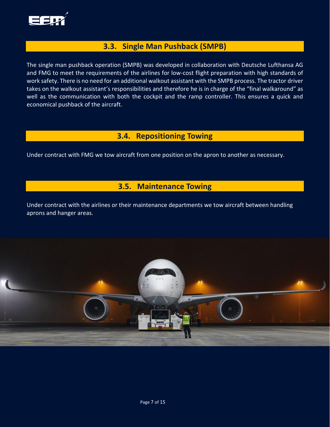

## **3.3. Single Man Pushback (SMPB)**

<span id="page-6-0"></span>The single man pushback operation (SMPB) was developed in collaboration with Deutsche Lufthansa AG and FMG to meet the requirements of the airlines for low-cost flight preparation with high standards of work safety. There is no need for an additional walkout assistant with the SMPB process. The tractor driver takes on the walkout assistant's responsibilities and therefore he is in charge of the "final walkaround" as well as the communication with both the cockpit and the ramp controller. This ensures a quick and economical pushback of the aircraft.

#### **3.4. Repositioning Towing**

<span id="page-6-2"></span><span id="page-6-1"></span>Under contract with FMG we tow aircraft from one position on the apron to another as necessary.

#### **3.5. Maintenance Towing**

Under contract with the airlines or their maintenance departments we tow aircraft between handling aprons and hanger areas.

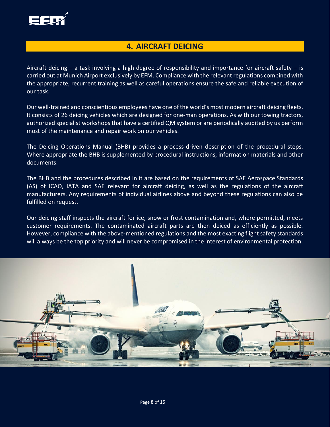

#### **4. AIRCRAFT DEICING**

<span id="page-7-0"></span>Aircraft deicing – a task involving a high degree of responsibility and importance for aircraft safety – is carried out at Munich Airport exclusively by EFM. Compliance with the relevant regulations combined with the appropriate, recurrent training as well as careful operations ensure the safe and reliable execution of our task.

Our well-trained and conscientious employees have one of the world's most modern aircraft deicing fleets. It consists of 26 deicing vehicles which are designed for one-man operations. As with our towing tractors, authorized specialist workshops that have a certified QM system or are periodically audited by us perform most of the maintenance and repair work on our vehicles.

The Deicing Operations Manual (BHB) provides a process-driven description of the procedural steps. Where appropriate the BHB is supplemented by procedural instructions, information materials and other documents.

The BHB and the procedures described in it are based on the requirements of SAE Aerospace Standards (AS) of ICAO, IATA and SAE relevant for aircraft deicing, as well as the regulations of the aircraft manufacturers. Any requirements of individual airlines above and beyond these regulations can also be fulfilled on request.

Our deicing staff inspects the aircraft for ice, snow or frost contamination and, where permitted, meets customer requirements. The contaminated aircraft parts are then deiced as efficiently as possible. However, compliance with the above-mentioned regulations and the most exacting flight safety standards will always be the top priority and will never be compromised in the interest of environmental protection.

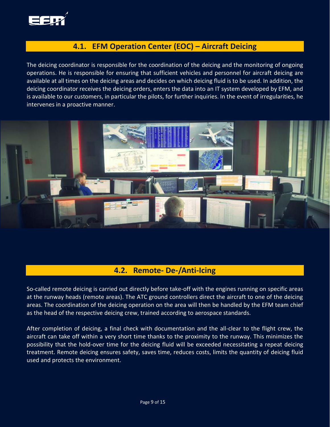

## **4.1. EFM Operation Center (EOC) – Aircraft Deicing**

<span id="page-8-0"></span>The deicing coordinator is responsible for the coordination of the deicing and the monitoring of ongoing operations. He is responsible for ensuring that sufficient vehicles and personnel for aircraft deicing are available at all times on the deicing areas and decides on which deicing fluid is to be used. In addition, the deicing coordinator receives the deicing orders, enters the data into an IT system developed by EFM, and is available to our customers, in particular the pilots, for further inquiries. In the event of irregularities, he intervenes in a proactive manner.



#### **4.2. Remote- De-/Anti-Icing**

<span id="page-8-1"></span>So-called remote deicing is carried out directly before take-off with the engines running on specific areas at the runway heads (remote areas). The ATC ground controllers direct the aircraft to one of the deicing areas. The coordination of the deicing operation on the area will then be handled by the EFM team chief as the head of the respective deicing crew, trained according to aerospace standards.

After completion of deicing, a final check with documentation and the all-clear to the flight crew, the aircraft can take off within a very short time thanks to the proximity to the runway. This minimizes the possibility that the hold-over time for the deicing fluid will be exceeded necessitating a repeat deicing treatment. Remote deicing ensures safety, saves time, reduces costs, limits the quantity of deicing fluid used and protects the environment.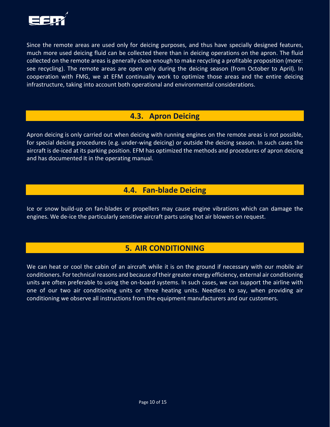

Since the remote areas are used only for deicing purposes, and thus have specially designed features, much more used deicing fluid can be collected there than in deicing operations on the apron. The fluid collected on the remote areas is generally clean enough to make recycling a profitable proposition (more: see recycling). The remote areas are open only during the deicing season (from October to April). In cooperation with FMG, we at EFM continually work to optimize those areas and the entire deicing infrastructure, taking into account both operational and environmental considerations.

#### **4.3. Apron Deicing**

<span id="page-9-0"></span>Apron deicing is only carried out when deicing with running engines on the remote areas is not possible, for special deicing procedures (e.g. under-wing deicing) or outside the deicing season. In such cases the aircraft is de-iced at its parking position. EFM has optimized the methods and procedures of apron deicing and has documented it in the operating manual.

#### **4.4. Fan-blade Deicing**

<span id="page-9-1"></span>Ice or snow build-up on fan-blades or propellers may cause engine vibrations which can damage the engines. We de-ice the particularly sensitive aircraft parts using hot air blowers on request.

# **5. AIR CONDITIONING**

<span id="page-9-2"></span>We can heat or cool the cabin of an aircraft while it is on the ground if necessary with our mobile air conditioners. For technical reasons and because of their greater energy efficiency, external air conditioning units are often preferable to using the on-board systems. In such cases, we can support the airline with one of our two air conditioning units or three heating units. Needless to say, when providing air conditioning we observe all instructions from the equipment manufacturers and our customers.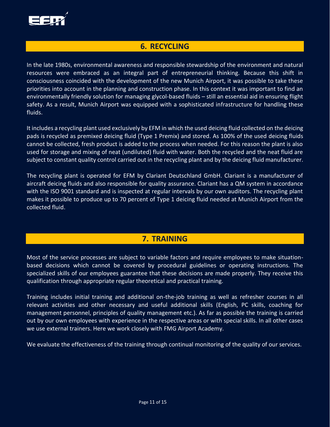

#### <span id="page-10-0"></span>**6. RECYCLING**

In the late 1980s, environmental awareness and responsible stewardship of the environment and natural resources were embraced as an integral part of entrepreneurial thinking. Because this shift in consciousness coincided with the development of the new Munich Airport, it was possible to take these priorities into account in the planning and construction phase. In this context it was important to find an environmentally friendly solution for managing glycol-based fluids – still an essential aid in ensuring flight safety. As a result, Munich Airport was equipped with a sophisticated infrastructure for handling these fluids.

It includes a recycling plant used exclusively by EFM in which the used deicing fluid collected on the deicing pads is recycled as premixed deicing fluid (Type 1 Premix) and stored. As 100% of the used deicing fluids cannot be collected, fresh product is added to the process when needed. For this reason the plant is also used for storage and mixing of neat (undiluted) fluid with water. Both the recycled and the neat fluid are subject to constant quality control carried out in the recycling plant and by the deicing fluid manufacturer.

The recycling plant is operated for EFM by Clariant Deutschland GmbH. Clariant is a manufacturer of aircraft deicing fluids and also responsible for quality assurance. Clariant has a QM system in accordance with the ISO 9001 standard and is inspected at regular intervals by our own auditors. The recycling plant makes it possible to produce up to 70 percent of Type 1 deicing fluid needed at Munich Airport from the collected fluid.

# **7. TRAINING**

<span id="page-10-1"></span>Most of the service processes are subject to variable factors and require employees to make situationbased decisions which cannot be covered by procedural guidelines or operating instructions. The specialized skills of our employees guarantee that these decisions are made properly. They receive this qualification through appropriate regular theoretical and practical training.

Training includes initial training and additional on-the-job training as well as refresher courses in all relevant activities and other necessary and useful additional skills (English, PC skills, coaching for management personnel, principles of quality management etc.). As far as possible the training is carried out by our own employees with experience in the respective areas or with special skills. In all other cases we use external trainers. Here we work closely with FMG Airport Academy.

We evaluate the effectiveness of the training through continual monitoring of the quality of our services.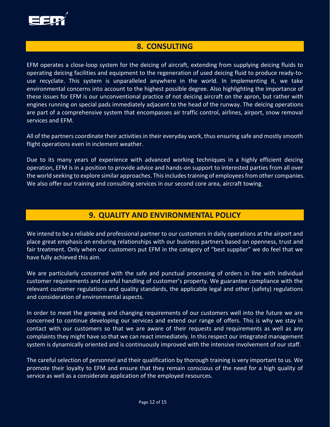

#### <span id="page-11-0"></span>**8. CONSULTING**

EFM operates a close-loop system for the deicing of aircraft, extending from supplying deicing fluids to operating deicing facilities and equipment to the regeneration of used deicing fluid to produce ready-touse recyclate. This system is unparalleled anywhere in the world. In implementing it, we take environmental concerns into account to the highest possible degree. Also highlighting the importance of these issues for EFM is our unconventional practice of not deicing aircraft on the apron, but rather with engines running on special pads immediately adjacent to the head of the runway. The deicing operations are part of a comprehensive system that encompasses air traffic control, airlines, airport, snow removal services and EFM.

All of the partners coordinate their activities in their everyday work, thus ensuring safe and mostly smooth flight operations even in inclement weather.

Due to its many years of experience with advanced working techniques in a highly efficient deicing operation, EFM is in a position to provide advice and hands-on support to interested parties from all over the world seeking to explore similar approaches. This includes training of employees from other companies. We also offer our training and consulting services in our second core area, aircraft towing.

#### **9. QUALITY AND ENVIRONMENTAL POLICY**

<span id="page-11-1"></span>We intend to be a reliable and professional partner to our customers in daily operations at the airport and place great emphasis on enduring relationships with our business partners based on openness, trust and fair treatment. Only when our customers put EFM in the category of "best supplier" we do feel that we have fully achieved this aim.

We are particularly concerned with the safe and punctual processing of orders in line with individual customer requirements and careful handling of customer's property. We guarantee compliance with the relevant customer regulations and quality standards, the applicable legal and other (safety) regulations and consideration of environmental aspects.

In order to meet the growing and changing requirements of our customers well into the future we are concerned to continue developing our services and extend our range of offers. This is why we stay in contact with our customers so that we are aware of their requests and requirements as well as any complaints they might have so that we can react immediately. In this respect our integrated management system is dynamically oriented and is continuously improved with the intensive involvement of our staff.

The careful selection of personnel and their qualification by thorough training is very important to us. We promote their loyalty to EFM and ensure that they remain conscious of the need for a high quality of service as well as a considerate application of the employed resources.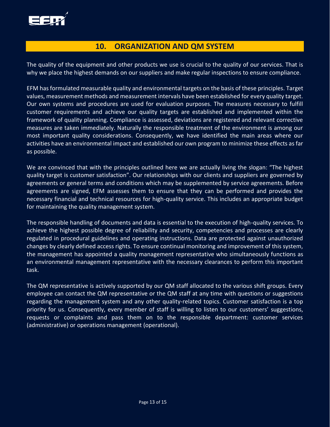

#### **10. ORGANIZATION AND QM SYSTEM**

<span id="page-12-0"></span>The quality of the equipment and other products we use is crucial to the quality of our services. That is why we place the highest demands on our suppliers and make regular inspections to ensure compliance.

EFM has formulated measurable quality and environmental targets on the basis of these principles. Target values, measurement methods and measurement intervals have been established for every quality target. Our own systems and procedures are used for evaluation purposes. The measures necessary to fulfill customer requirements and achieve our quality targets are established and implemented within the framework of quality planning. Compliance is assessed, deviations are registered and relevant corrective measures are taken immediately. Naturally the responsible treatment of the environment is among our most important quality considerations. Consequently, we have identified the main areas where our activities have an environmental impact and established our own program to minimize these effects as far as possible.

We are convinced that with the principles outlined here we are actually living the slogan: "The highest quality target is customer satisfaction". Our relationships with our clients and suppliers are governed by agreements or general terms and conditions which may be supplemented by service agreements. Before agreements are signed, EFM assesses them to ensure that they can be performed and provides the necessary financial and technical resources for high-quality service. This includes an appropriate budget for maintaining the quality management system.

The responsible handling of documents and data is essential to the execution of high-quality services. To achieve the highest possible degree of reliability and security, competencies and processes are clearly regulated in procedural guidelines and operating instructions. Data are protected against unauthorized changes by clearly defined access rights. To ensure continual monitoring and improvement of this system, the management has appointed a quality management representative who simultaneously functions as an environmental management representative with the necessary clearances to perform this important task.

The QM representative is actively supported by our QM staff allocated to the various shift groups. Every employee can contact the QM representative or the QM staff at any time with questions or suggestions regarding the management system and any other quality-related topics. Customer satisfaction is a top priority for us. Consequently, every member of staff is willing to listen to our customers' suggestions, requests or complaints and pass them on to the responsible department: customer services (administrative) or operations management (operational).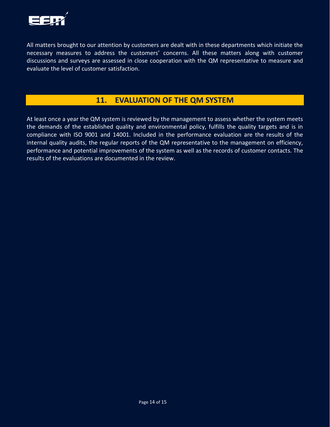

All matters brought to our attention by customers are dealt with in these departments which initiate the necessary measures to address the customers' concerns. All these matters along with customer discussions and surveys are assessed in close cooperation with the QM representative to measure and evaluate the level of customer satisfaction.

## **11. EVALUATION OF THE QM SYSTEM**

<span id="page-13-0"></span>At least once a year the QM system is reviewed by the management to assess whether the system meets the demands of the established quality and environmental policy, fulfills the quality targets and is in compliance with ISO 9001 and 14001. Included in the performance evaluation are the results of the internal quality audits, the regular reports of the QM representative to the management on efficiency, performance and potential improvements of the system as well as the records of customer contacts. The results of the evaluations are documented in the review.